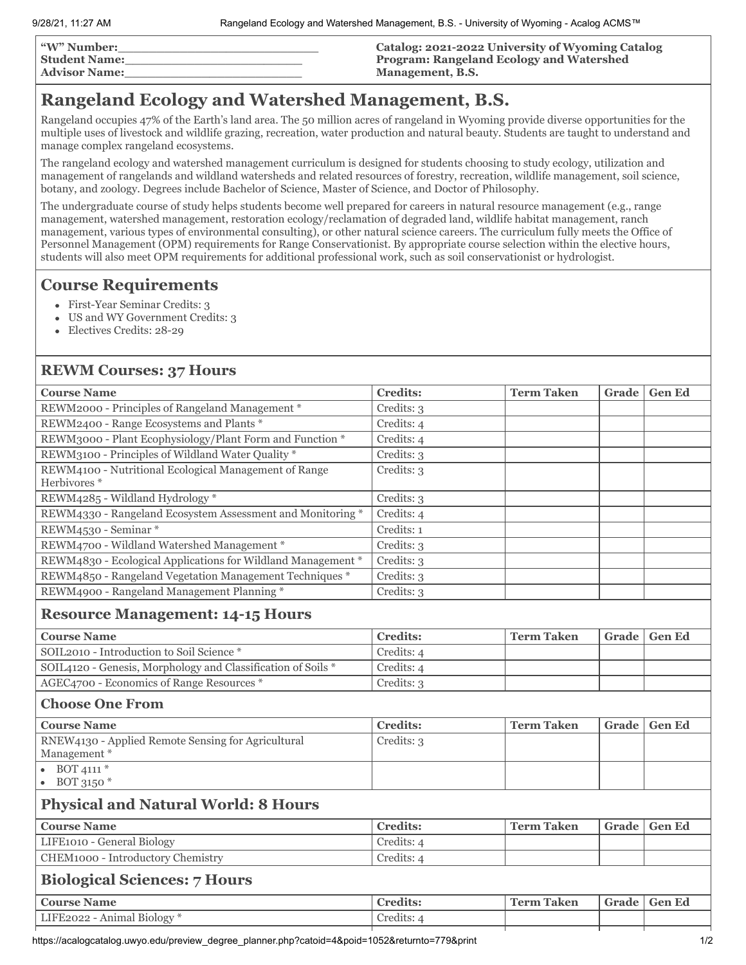| <b>"W" Number:</b>   | <b>Catalog: 2021-2022 University of Wyoming Catalog</b> |
|----------------------|---------------------------------------------------------|
| <b>Student Name:</b> | <b>Program: Rangeland Ecology and Watershed</b>         |
| <b>Advisor Name:</b> | Management, B.S.                                        |

## **Rangeland Ecology and Watershed Management, B.S.**

Rangeland occupies 47% of the Earth's land area. The 50 million acres of rangeland in Wyoming provide diverse opportunities for the multiple uses of livestock and wildlife grazing, recreation, water production and natural beauty. Students are taught to understand and manage complex rangeland ecosystems.

The rangeland ecology and watershed management curriculum is designed for students choosing to study ecology, utilization and management of rangelands and wildland watersheds and related resources of forestry, recreation, wildlife management, soil science, botany, and zoology. Degrees include Bachelor of Science, Master of Science, and Doctor of Philosophy.

The undergraduate course of study helps students become well prepared for careers in natural resource management (e.g., range management, watershed management, restoration ecology/reclamation of degraded land, wildlife habitat management, ranch management, various types of environmental consulting), or other natural science careers. The curriculum fully meets the Office of Personnel Management (OPM) requirements for Range Conservationist. By appropriate course selection within the elective hours, students will also meet OPM requirements for additional professional work, such as soil conservationist or hydrologist.

## **Course Requirements**

- First-Year Seminar Credits: 3
- US and WY Government Credits: 3
- Electives Credits: 28-29

## **REWM Courses: 37 Hours**

| <b>Course Name</b>                                                               | <b>Credits:</b> | <b>Term Taken</b> | Grade | <b>Gen Ed</b> |
|----------------------------------------------------------------------------------|-----------------|-------------------|-------|---------------|
| REWM2000 - Principles of Rangeland Management *                                  | Credits: 3      |                   |       |               |
| REWM2400 - Range Ecosystems and Plants *                                         | Credits: 4      |                   |       |               |
| REWM3000 - Plant Ecophysiology/Plant Form and Function *                         | Credits: 4      |                   |       |               |
| REWM3100 - Principles of Wildland Water Quality *                                | Credits: 3      |                   |       |               |
| REWM4100 - Nutritional Ecological Management of Range<br>Herbivores <sup>*</sup> | Credits: 3      |                   |       |               |
| REWM4285 - Wildland Hydrology*                                                   | Credits: 3      |                   |       |               |
| REWM4330 - Rangeland Ecosystem Assessment and Monitoring *                       | Credits: 4      |                   |       |               |
| REWM4530 - Seminar*                                                              | Credits: 1      |                   |       |               |
| REWM4700 - Wildland Watershed Management *                                       | Credits: 3      |                   |       |               |
| REWM4830 - Ecological Applications for Wildland Management *                     | Credits: 3      |                   |       |               |
| REWM4850 - Rangeland Vegetation Management Techniques *                          | Credits: 3      |                   |       |               |
| REWM4900 - Rangeland Management Planning *                                       | Credits: 3      |                   |       |               |
| <b>Resource Management: 14-15 Hours</b>                                          |                 |                   |       |               |
| <b>Course Name</b>                                                               | <b>Credits:</b> | <b>Term Taken</b> | Grade | <b>Gen Ed</b> |
| SOIL2010 - Introduction to Soil Science *                                        | Credits: 4      |                   |       |               |
| SOIL4120 - Genesis, Morphology and Classification of Soils *                     | Credits: 4      |                   |       |               |
| AGEC4700 - Economics of Range Resources *                                        | Credits: 3      |                   |       |               |
| <b>Choose One From</b>                                                           |                 |                   |       |               |
| <b>Course Name</b>                                                               | <b>Credits:</b> | <b>Term Taken</b> | Grade | <b>Gen Ed</b> |
| RNEW4130 - Applied Remote Sensing for Agricultural<br>Management*                | Credits: 3      |                   |       |               |
| • BOT 4111 $*$<br>$\bullet$ BOT 3150 $*$                                         |                 |                   |       |               |
| <b>Physical and Natural World: 8 Hours</b>                                       |                 |                   |       |               |
| <b>Course Name</b>                                                               | <b>Credits:</b> | <b>Term Taken</b> | Grade | <b>Gen Ed</b> |
| LIFE1010 - General Biology                                                       | Credits: 4      |                   |       |               |
| CHEM1000 - Introductory Chemistry                                                | Credits: 4      |                   |       |               |
| <b>Biological Sciences: 7 Hours</b>                                              |                 |                   |       |               |
| <b>Course Name</b>                                                               | <b>Credits:</b> | <b>Term Taken</b> | Grade | <b>Gen Ed</b> |
| LIFE2022 - Animal Biology*                                                       | Credits: 4      |                   |       |               |
|                                                                                  |                 |                   |       |               |

https://acalogcatalog.uwyo.edu/preview\_degree\_planner.php?catoid=4&poid=1052&returnto=779&print 1/2